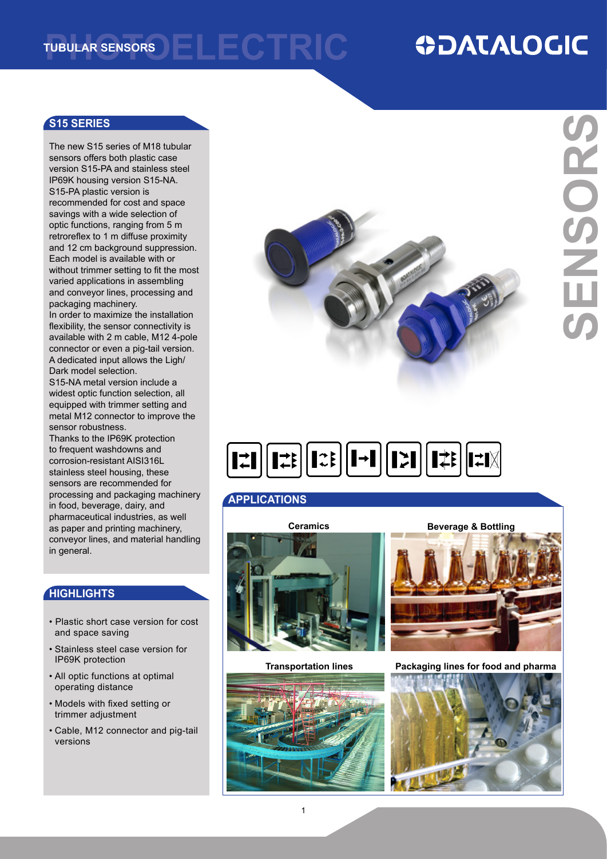**FI FCTRIC Tubular sensors**

## **ODATALOGIC**

#### **S15 SERIES**

The new S15 series of M18 tubular sensors offers both plastic case version S15-PA and stainless steel IP69K housing version S15-NA. S15-PA plastic version is recommended for cost and space savings with a wide selection of optic functions, ranging from 5 m retroreflex to 1 m diffuse proximity and 12 cm background suppression. Each model is available with or without trimmer setting to fit the most varied applications in assembling and conveyor lines, processing and packaging machinery.

In order to maximize the installation flexibility, the sensor connectivity is available with 2 m cable, M12 4-pole connector or even a pig-tail version. A dedicated input allows the Ligh/ Dark model selection.

S15-NA metal version include a widest optic function selection, all equipped with trimmer setting and metal M12 connector to improve the sensor robustness.

Thanks to the IP69K protection to frequent washdowns and corrosion-resistant AISI316L stainless steel housing, these sensors are recommended for processing and packaging machinery in food, beverage, dairy, and pharmaceutical industries, as well as paper and printing machinery, conveyor lines, and material handling in general.

#### **HIGHLIGHTS**

- Plastic short case version for cost and space saving
- Stainless steel case version for IP69K protection
- All optic functions at optimal operating distance
- Models with fixed setting or trimmer adjustment
- Cable, M12 connector and pig-tail versions



# $\boxed{\left[\begin{array}{c} \mathbf{1} \div \mathbf{1} \end{array}\right]}\left[\begin{array}{c} \mathbf{1} \div \mathbf{1} \end{array}\right]}\left[\begin{array}{c} \mathbf{1} \div \mathbf{1} \end{array}\right]}\left[\begin{array}{c} \mathbf{1} \div \mathbf{1} \end{array}\right]}\left[\begin{array}{c} \mathbf{1} \div \mathbf{1} \end{array}\right]}$

#### **APPLICATIONS**



**Transportation lines**





**Packaging lines for food and pharma**

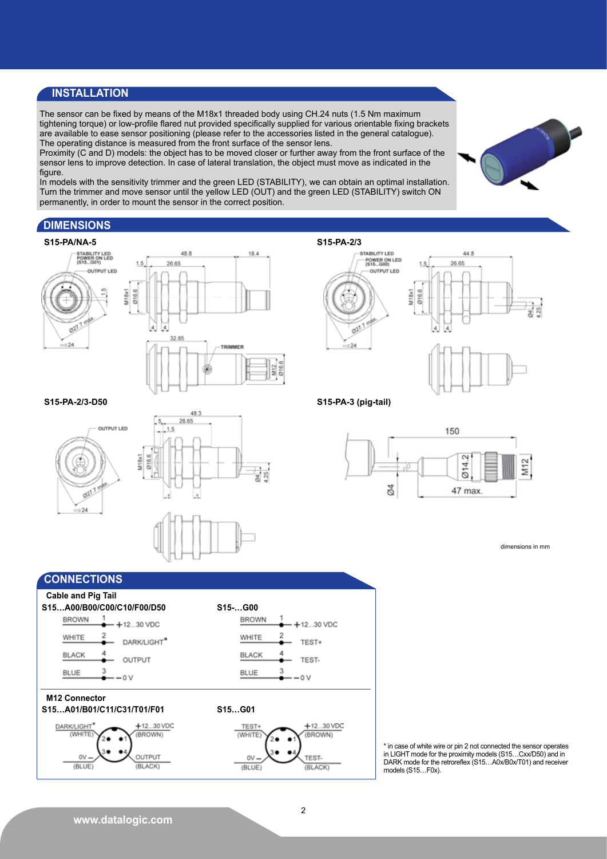#### **INSTALLATION**

The sensor can be fixed by means of the M18x1 threaded body using CH.24 nuts (1.5 Nm maximum tightening torque) or low-profile flared nut provided specifically supplied for various orientable fixing brackets are available to ease sensor positioning (please refer to the accessories listed in the general catalogue). The operating distance is measured from the front surface of the sensor lens.

Proximity (C and D) models: the object has to be moved closer or further away from the front surface of the sensor lens to improve detection. In case of lateral translation, the object must move as indicated in the figure.

In models with the sensitivity trimmer and the green LED (STABILITY), we can obtain an optimal installation. Turn the trimmer and move sensor until the yellow LED (OUT) and the green LED (STABILITY) switch ON permanently, in order to mount the sensor in the correct position.

 $M12$ 

 $\frac{25}{2}$ 

#### **DIMENSIONS**

**S15-PA-2/3-D50**

021

 $\approx$  24

OUTPUT LED



 $5.5$ 

 $418x$ 

**S15-PA-2/3**





#### **S15-PA-3 (pig-tail)**



dimensions in mm



48.3 26.65

> \* in case of white wire or pin 2 not connected the sensor operates in LIGHT mode for the proximity models (S15…Cxx/D50) and in DARK mode for the retroreflex (S15…A0x/B0x/T01) and receiver models (S15...F0x).

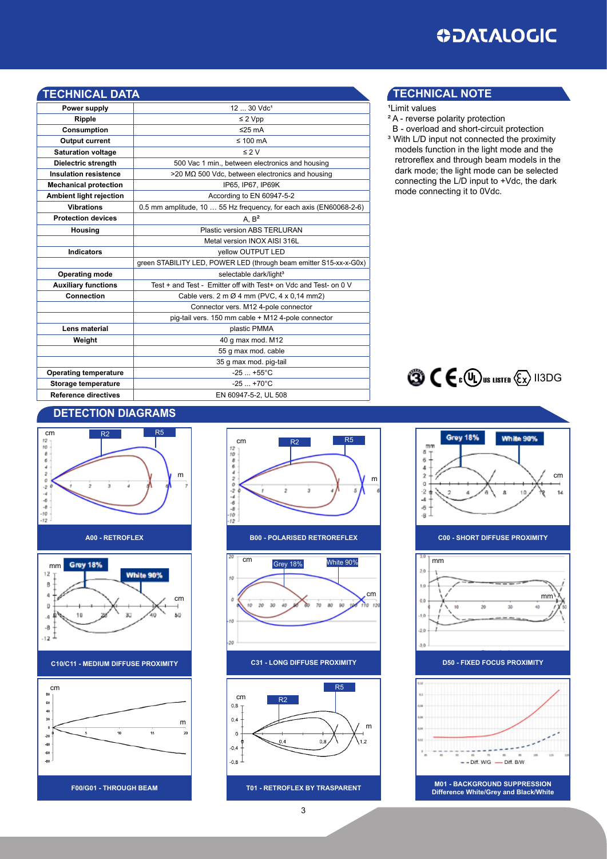| <b>TECHNICAL DATA</b>          |                                                                    |  |  |  |  |
|--------------------------------|--------------------------------------------------------------------|--|--|--|--|
| Power supply                   | 12  30 Vdc <sup>1</sup>                                            |  |  |  |  |
| Ripple                         | $\leq$ 2 Vpp                                                       |  |  |  |  |
| Consumption                    | ≤25 $mA$                                                           |  |  |  |  |
| <b>Output current</b>          | $\leq 100$ mA                                                      |  |  |  |  |
| <b>Saturation voltage</b>      | $\leq$ 2 V                                                         |  |  |  |  |
| Dielectric strength            | 500 Vac 1 min., between electronics and housing                    |  |  |  |  |
| <b>Insulation resistence</b>   | $>$ 20 M $\Omega$ 500 Vdc, between electronics and housing         |  |  |  |  |
| <b>Mechanical protection</b>   | IP65, IP67, IP69K                                                  |  |  |  |  |
| <b>Ambient light rejection</b> | According to EN 60947-5-2                                          |  |  |  |  |
| <b>Vibrations</b>              | 0.5 mm amplitude, 10  55 Hz frequency, for each axis (EN60068-2-6) |  |  |  |  |
| <b>Protection devices</b>      | A. B <sup>2</sup>                                                  |  |  |  |  |
| Housing                        | Plastic version ABS TERLURAN                                       |  |  |  |  |
|                                | Metal version INOX AISI 316L                                       |  |  |  |  |
| <b>Indicators</b>              | vellow OUTPUT LED                                                  |  |  |  |  |
|                                | green STABILITY LED, POWER LED (through beam emitter S15-xx-x-G0x) |  |  |  |  |
| <b>Operating mode</b>          | selectable dark/light <sup>3</sup>                                 |  |  |  |  |
| <b>Auxiliary functions</b>     | Test + and Test - Emitter off with Test+ on Vdc and Test- on 0 V   |  |  |  |  |
| Connection                     | Cable vers. 2 m Ø 4 mm (PVC, 4 x 0,14 mm2)                         |  |  |  |  |
|                                | Connector vers. M12 4-pole connector                               |  |  |  |  |
|                                | pig-tail vers. 150 mm cable + M12 4-pole connector                 |  |  |  |  |
| Lens material                  | plastic PMMA                                                       |  |  |  |  |
| Weight                         | 40 g max mod. M12                                                  |  |  |  |  |
|                                | 55 g max mod. cable                                                |  |  |  |  |
|                                | 35 g max mod. pig-tail                                             |  |  |  |  |
| <b>Operating temperature</b>   | $-25+55^{\circ}C$                                                  |  |  |  |  |
| Storage temperature            | $-25+70^{\circ}C$                                                  |  |  |  |  |
| <b>Reference directives</b>    | EN 60947-5-2, UL 508                                               |  |  |  |  |

#### **TECHNICAL DATA TECHNICAL note**

- <sup>1</sup>Limit values
- ² A reverse polarity protection
- B overload and short-circuit protection <sup>3</sup> With L/D input not connected the proximity models function in the light mode and the
- retroreflex and through beam models in the dark mode; the light mode can be selected connecting the L/D input to +Vdc, the dark mode connecting it to 0Vdc.





#### **detection diagramS**





**C10/C11 - Medium DIFFUSE PROXIMITY**





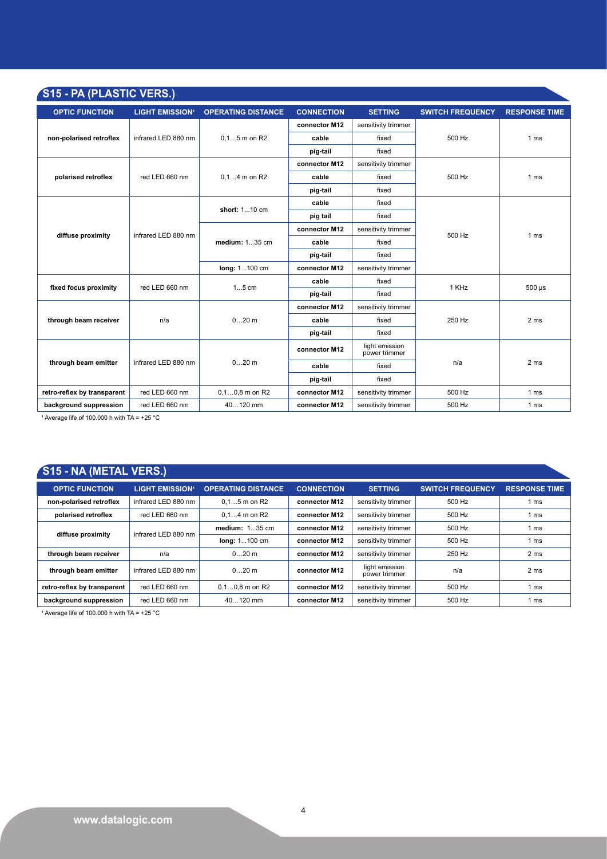| S15 - PA (PLASTIC VERS.)    |                                   |                           |                   |                                 |                         |                      |
|-----------------------------|-----------------------------------|---------------------------|-------------------|---------------------------------|-------------------------|----------------------|
| <b>OPTIC FUNCTION</b>       | <b>LIGHT EMISSION<sup>1</sup></b> | <b>OPERATING DISTANCE</b> | <b>CONNECTION</b> | <b>SETTING</b>                  | <b>SWITCH FREQUENCY</b> | <b>RESPONSE TIME</b> |
| non-polarised retroflex     | infrared LED 880 nm               | $0.15$ m on R2            | connector M12     | sensitivity trimmer             |                         | 1 <sub>ms</sub>      |
|                             |                                   |                           | cable             | fixed                           | 500 Hz                  |                      |
|                             |                                   |                           | pig-tail          | fixed                           |                         |                      |
|                             |                                   | $0.14$ m on R2            | connector M12     | sensitivity trimmer             |                         | 1 <sub>ms</sub>      |
| polarised retroflex         | red LED 660 nm                    |                           | cable             | fixed                           | 500 Hz                  |                      |
|                             |                                   |                           | pig-tail          | fixed                           |                         |                      |
|                             |                                   | short: 110 cm             | cable             | fixed                           | 500 Hz                  | 1 <sub>ms</sub>      |
| diffuse proximity           | infrared LED 880 nm               |                           | pig tail          | fixed                           |                         |                      |
|                             |                                   | medium: 135 cm            | connector M12     | sensitivity trimmer             |                         |                      |
|                             |                                   |                           | cable             | fixed                           |                         |                      |
|                             |                                   |                           | pig-tail          | fixed                           |                         |                      |
|                             |                                   | long: 1100 cm             | connector M12     | sensitivity trimmer             |                         |                      |
| fixed focus proximity       | red LED 660 nm                    | $15$ cm                   | cable             | fixed                           | 1 KHz                   | $500 \mu s$          |
|                             |                                   |                           | pig-tail          | fixed                           |                         |                      |
| through beam receiver       | n/a                               | $020$ m                   | connector M12     | sensitivity trimmer             |                         | 2 <sub>ms</sub>      |
|                             |                                   |                           | cable             | fixed                           | 250 Hz                  |                      |
|                             |                                   |                           | pig-tail          | fixed                           |                         |                      |
| through beam emitter        | infrared LED 880 nm               | $020$ m                   | connector M12     | light emission<br>power trimmer |                         | 2 <sub>ms</sub>      |
|                             |                                   |                           | cable             | fixed                           | n/a                     |                      |
|                             |                                   |                           | pig-tail          | fixed                           |                         |                      |
| retro-reflex by transparent | red LED 660 nm                    | $0, 10, 8$ m on R2        | connector M12     | sensitivity trimmer             | 500 Hz                  | 1 <sub>ms</sub>      |
| background suppression      | red LED 660 nm                    | 40120 mm                  | connector M12     | sensitivity trimmer             | 500 Hz                  | 1 <sub>ms</sub>      |

<sup>1</sup> Average life of 100.000 h with TA =  $+25$  °C

#### **S15 - NA (METAL VERS.)**

| <b>OPTIC FUNCTION</b>       | <b>LIGHT EMISSION<sup>1</sup></b> | <b>OPERATING DISTANCE</b> | <b>CONNECTION</b> | <b>SETTING</b>                  | <b>SWITCH FREQUENCY</b> | <b>RESPONSE TIME</b> |
|-----------------------------|-----------------------------------|---------------------------|-------------------|---------------------------------|-------------------------|----------------------|
| non-polarised retroflex     | infrared LED 880 nm               | $0.15$ m on R2            | connector M12     | sensitivity trimmer             | 500 Hz                  | 1 ms                 |
| polarised retroflex         | red LED 660 nm                    | $0.14$ m on R2            | connector M12     | sensitivity trimmer             | 500 Hz                  | 1 ms                 |
| diffuse proximity           | infrared LED 880 nm               | $median: 135$ cm          | connector M12     | sensitivity trimmer             | 500 Hz                  | 1 ms                 |
|                             |                                   | long: 1100 cm             | connector M12     | sensitivity trimmer             | 500 Hz                  | 1 ms                 |
| through beam receiver       | n/a                               | $020$ m                   | connector M12     | sensitivity trimmer             | 250 Hz                  | 2 ms                 |
| through beam emitter        | infrared LED 880 nm               | $020$ m                   | connector M12     | light emission<br>power trimmer | n/a                     | 2 <sub>ms</sub>      |
| retro-reflex by transparent | red LED 660 nm                    | $0.10.8$ m on R2          | connector M12     | sensitivity trimmer             | 500 Hz                  | 1 ms                 |
| background suppression      | red LED 660 nm                    | $40120$ mm                | connector M12     | sensitivity trimmer             | 500 Hz                  | 1 ms                 |

<sup>1</sup> Average life of 100.000 h with  $TA = +25 °C$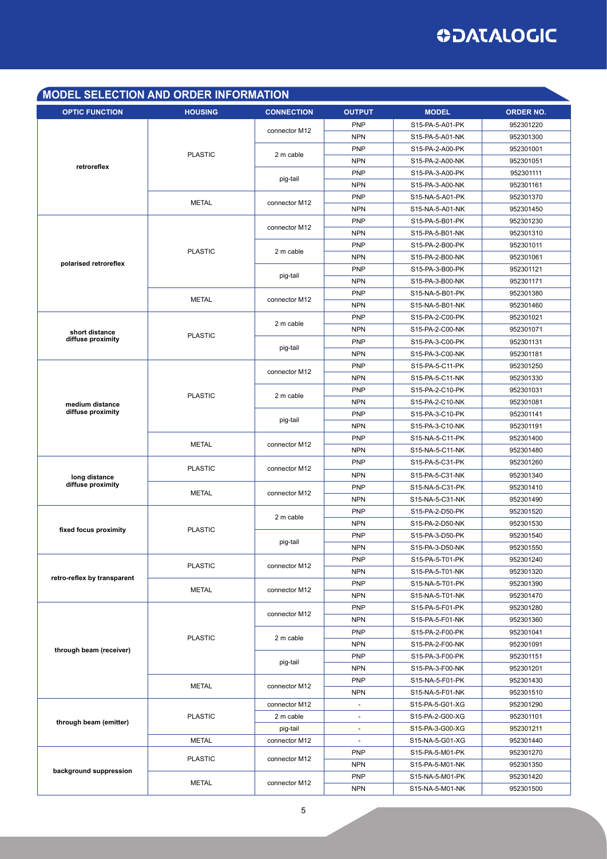### **ODATALOGIC**

#### **model selection AND order INFORMATION**

| <b>OPTIC FUNCTION</b>       | <b>HOUSING</b>                 | <b>CONNECTION</b>              | <b>OUTPUT</b>            | <b>MODEL</b>    | <b>ORDER NO.</b> |
|-----------------------------|--------------------------------|--------------------------------|--------------------------|-----------------|------------------|
|                             |                                |                                | <b>PNP</b>               | S15-PA-5-A01-PK | 952301220        |
| retroreflex                 |                                | connector M12<br>2 m cable     | <b>NPN</b>               | S15-PA-5-A01-NK | 952301300        |
|                             |                                |                                | <b>PNP</b>               | S15-PA-2-A00-PK | 952301001        |
|                             | <b>PLASTIC</b>                 |                                | <b>NPN</b>               | S15-PA-2-A00-NK | 952301051        |
|                             |                                | pig-tail                       | <b>PNP</b>               | S15-PA-3-A00-PK | 952301111        |
|                             |                                |                                | <b>NPN</b>               | S15-PA-3-A00-NK | 952301161        |
|                             |                                |                                | <b>PNP</b>               | S15-NA-5-A01-PK | 952301370        |
|                             | <b>METAL</b>                   | connector M12                  | <b>NPN</b>               | S15-NA-5-A01-NK | 952301450        |
|                             |                                | connector M12                  | <b>PNP</b>               | S15-PA-5-B01-PK | 952301230        |
|                             |                                |                                | <b>NPN</b>               | S15-PA-5-B01-NK | 952301310        |
|                             | <b>PLASTIC</b>                 | 2 m cable                      | <b>PNP</b>               | S15-PA-2-B00-PK | 952301011        |
|                             |                                |                                | <b>NPN</b>               | S15-PA-2-B00-NK | 952301061        |
| polarised retroreflex       |                                |                                | PNP                      | S15-PA-3-B00-PK | 952301121        |
|                             |                                | pig-tail                       | <b>NPN</b>               | S15-PA-3-B00-NK | 952301171        |
|                             |                                |                                | <b>PNP</b>               | S15-NA-5-B01-PK | 952301380        |
|                             | <b>METAL</b>                   | connector M12                  | <b>NPN</b>               | S15-NA-5-B01-NK | 952301460        |
|                             |                                |                                | <b>PNP</b>               | S15-PA-2-C00-PK | 952301021        |
| short distance              |                                | 2 m cable                      | <b>NPN</b>               | S15-PA-2-C00-NK | 952301071        |
| diffuse proximity           | <b>PLASTIC</b>                 |                                | <b>PNP</b>               | S15-PA-3-C00-PK | 952301131        |
|                             |                                | pig-tail                       | <b>NPN</b>               | S15-PA-3-C00-NK | 952301181        |
|                             |                                |                                | <b>PNP</b>               | S15-PA-5-C11-PK | 952301250        |
|                             |                                | connector M12                  | <b>NPN</b>               | S15-PA-5-C11-NK | 952301330        |
|                             |                                |                                | <b>PNP</b>               | S15-PA-2-C10-PK | 952301031        |
| medium distance             | <b>PLASTIC</b>                 | 2 m cable                      | <b>NPN</b>               | S15-PA-2-C10-NK | 952301081        |
| diffuse proximity           |                                |                                | <b>PNP</b>               | S15-PA-3-C10-PK | 952301141        |
|                             |                                | pig-tail                       | <b>NPN</b>               | S15-PA-3-C10-NK | 952301191        |
|                             |                                |                                | <b>PNP</b>               | S15-NA-5-C11-PK | 952301400        |
|                             | <b>METAL</b>                   | connector M12                  | <b>NPN</b>               | S15-NA-5-C11-NK | 952301480        |
|                             | <b>PLASTIC</b>                 | connector M12<br>connector M12 | <b>PNP</b>               | S15-PA-5-C31-PK | 952301260        |
| long distance               |                                |                                | <b>NPN</b>               | S15-PA-5-C31-NK | 952301340        |
| diffuse proximity           | <b>METAL</b>                   |                                | <b>PNP</b>               | S15-NA-5-C31-PK | 952301410        |
|                             |                                |                                | <b>NPN</b>               | S15-NA-5-C31-NK | 952301490        |
|                             |                                | 2 m cable                      | <b>PNP</b>               | S15-PA-2-D50-PK | 952301520        |
| fixed focus proximity       | <b>PLASTIC</b>                 |                                | <b>NPN</b>               | S15-PA-2-D50-NK | 952301530        |
|                             |                                |                                | <b>PNP</b>               | S15-PA-3-D50-PK | 952301540        |
|                             |                                | pig-tail                       | <b>NPN</b>               | S15-PA-3-D50-NK | 952301550        |
|                             | <b>PLASTIC</b>                 | connector M12                  | <b>PNP</b>               | S15-PA-5-T01-PK | 952301240        |
| retro-reflex by transparent |                                |                                | <b>NPN</b>               | S15-PA-5-T01-NK | 952301320        |
|                             | <b>METAL</b>                   | connector M12                  | <b>PNP</b>               | S15-NA-5-T01-PK | 952301390        |
|                             |                                |                                | <b>NPN</b>               | S15-NA-5-T01-NK | 952301470        |
|                             |                                | connector M12                  | <b>PNP</b>               | S15-PA-5-F01-PK | 952301280        |
|                             | <b>PLASTIC</b>                 |                                | <b>NPN</b>               | S15-PA-5-F01-NK | 952301360        |
|                             |                                | 2 m cable                      | <b>PNP</b>               | S15-PA-2-F00-PK | 952301041        |
| through beam (receiver)     |                                |                                | <b>NPN</b>               | S15-PA-2-F00-NK | 952301091        |
| through beam (emitter)      | <b>METAL</b><br><b>PLASTIC</b> | pig-tail                       | <b>PNP</b>               | S15-PA-3-F00-PK | 952301151        |
|                             |                                |                                | <b>NPN</b>               | S15-PA-3-F00-NK | 952301201        |
|                             |                                | connector M12                  | <b>PNP</b>               | S15-NA-5-F01-PK | 952301430        |
|                             |                                |                                | <b>NPN</b>               | S15-NA-5-F01-NK | 952301510        |
|                             |                                | connector M12                  | $\blacksquare$           | S15-PA-5-G01-XG | 952301290        |
|                             |                                | 2 m cable                      | $\blacksquare$           | S15-PA-2-G00-XG | 952301101        |
|                             |                                | pig-tail                       | $\overline{\phantom{a}}$ | S15-PA-3-G00-XG | 952301211        |
|                             | <b>METAL</b>                   | connector M12                  |                          | S15-NA-5-G01-XG | 952301440        |
|                             | <b>PLASTIC</b>                 | connector M12                  | <b>PNP</b>               | S15-PA-5-M01-PK | 952301270        |
| background suppression      |                                |                                | <b>NPN</b>               | S15-PA-5-M01-NK | 952301350        |
|                             | METAL                          | connector M12                  | <b>PNP</b>               | S15-NA-5-M01-PK | 952301420        |
|                             |                                |                                | <b>NPN</b>               | S15-NA-5-M01-NK | 952301500        |